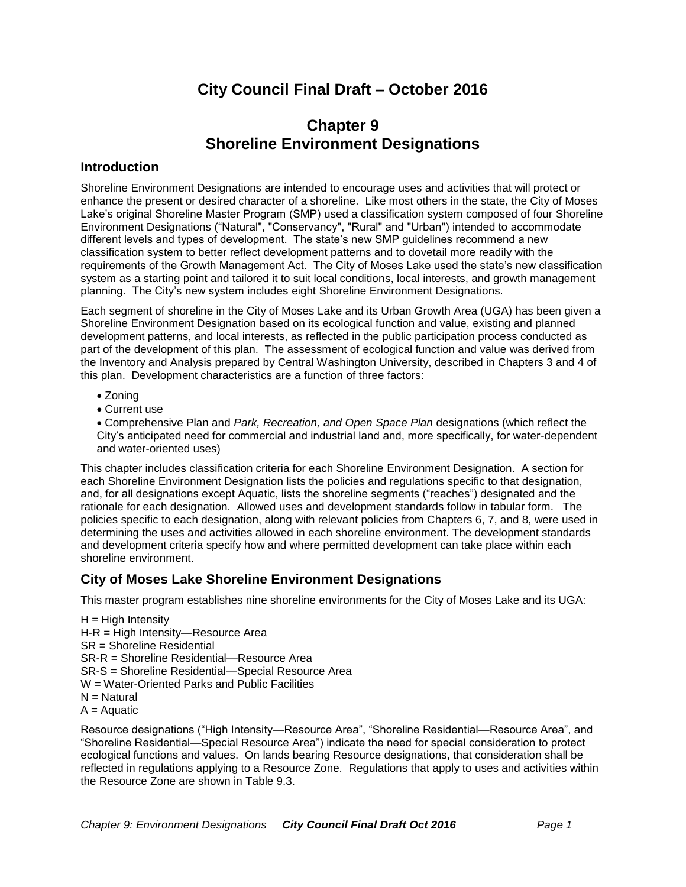# **City Council Final Draft – October 2016**

# **Chapter 9 Shoreline Environment Designations**

# **Introduction**

Shoreline Environment Designations are intended to encourage uses and activities that will protect or enhance the present or desired character of a shoreline. Like most others in the state, the City of Moses Lake's original Shoreline Master Program (SMP) used a classification system composed of four Shoreline Environment Designations ("Natural", "Conservancy", "Rural" and "Urban") intended to accommodate different levels and types of development. The state's new SMP guidelines recommend a new classification system to better reflect development patterns and to dovetail more readily with the requirements of the Growth Management Act. The City of Moses Lake used the state's new classification system as a starting point and tailored it to suit local conditions, local interests, and growth management planning. The City's new system includes eight Shoreline Environment Designations.

Each segment of shoreline in the City of Moses Lake and its Urban Growth Area (UGA) has been given a Shoreline Environment Designation based on its ecological function and value, existing and planned development patterns, and local interests, as reflected in the public participation process conducted as part of the development of this plan. The assessment of ecological function and value was derived from the Inventory and Analysis prepared by Central Washington University, described in Chapters 3 and 4 of this plan. Development characteristics are a function of three factors:

- Zoning
- Current use

 Comprehensive Plan and *Park, Recreation, and Open Space Plan* designations (which reflect the City's anticipated need for commercial and industrial land and, more specifically, for water-dependent and water-oriented uses)

This chapter includes classification criteria for each Shoreline Environment Designation. A section for each Shoreline Environment Designation lists the policies and regulations specific to that designation, and, for all designations except Aquatic, lists the shoreline segments ("reaches") designated and the rationale for each designation. Allowed uses and development standards follow in tabular form. The policies specific to each designation, along with relevant policies from Chapters 6, 7, and 8, were used in determining the uses and activities allowed in each shoreline environment. The development standards and development criteria specify how and where permitted development can take place within each shoreline environment.

# **City of Moses Lake Shoreline Environment Designations**

This master program establishes nine shoreline environments for the City of Moses Lake and its UGA:

 $H = H$ igh Intensity H-R = High Intensity—Resource Area SR = Shoreline Residential SR-R = Shoreline Residential—Resource Area SR-S = Shoreline Residential—Special Resource Area W = Water-Oriented Parks and Public Facilities  $N =$  Natural  $A =$  Aquatic

Resource designations ("High Intensity—Resource Area", "Shoreline Residential—Resource Area", and "Shoreline Residential—Special Resource Area") indicate the need for special consideration to protect ecological functions and values. On lands bearing Resource designations, that consideration shall be reflected in regulations applying to a Resource Zone. Regulations that apply to uses and activities within the Resource Zone are shown in Table 9.3.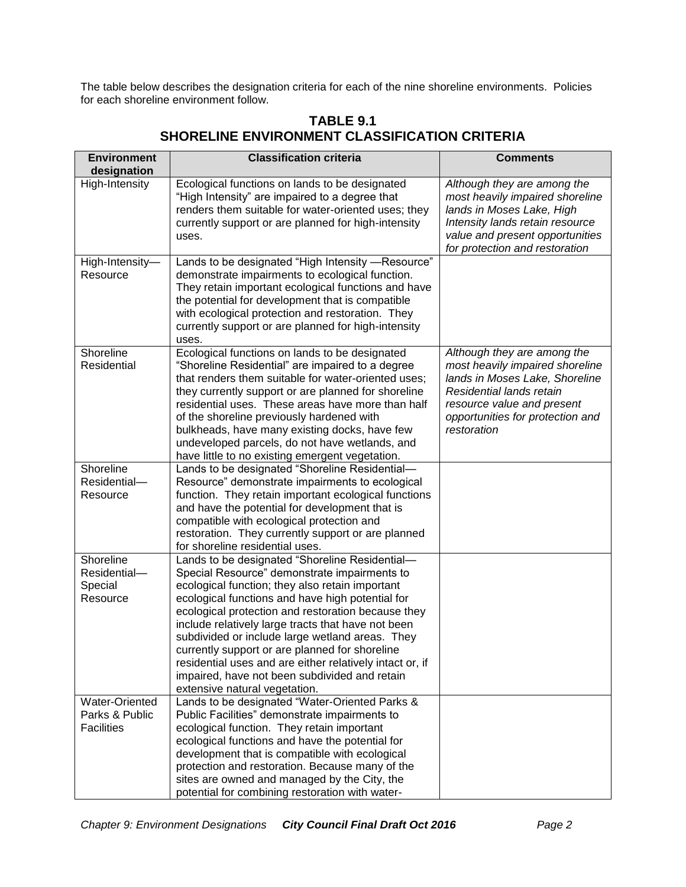The table below describes the designation criteria for each of the nine shoreline environments. Policies for each shoreline environment follow.

| <b>Environment</b><br>designation                     | <b>Classification criteria</b>                                                                                                                                                                                                                                                                                                                                                                                                                                                                                                                                       | <b>Comments</b>                                                                                                                                                                                               |
|-------------------------------------------------------|----------------------------------------------------------------------------------------------------------------------------------------------------------------------------------------------------------------------------------------------------------------------------------------------------------------------------------------------------------------------------------------------------------------------------------------------------------------------------------------------------------------------------------------------------------------------|---------------------------------------------------------------------------------------------------------------------------------------------------------------------------------------------------------------|
| High-Intensity                                        | Ecological functions on lands to be designated<br>"High Intensity" are impaired to a degree that<br>renders them suitable for water-oriented uses; they<br>currently support or are planned for high-intensity<br>uses.                                                                                                                                                                                                                                                                                                                                              | Although they are among the<br>most heavily impaired shoreline<br>lands in Moses Lake, High<br>Intensity lands retain resource<br>value and present opportunities<br>for protection and restoration           |
| High-Intensity-<br>Resource                           | Lands to be designated "High Intensity -Resource"<br>demonstrate impairments to ecological function.<br>They retain important ecological functions and have<br>the potential for development that is compatible<br>with ecological protection and restoration. They<br>currently support or are planned for high-intensity<br>uses.                                                                                                                                                                                                                                  |                                                                                                                                                                                                               |
| Shoreline<br>Residential                              | Ecological functions on lands to be designated<br>"Shoreline Residential" are impaired to a degree<br>that renders them suitable for water-oriented uses;<br>they currently support or are planned for shoreline<br>residential uses. These areas have more than half<br>of the shoreline previously hardened with<br>bulkheads, have many existing docks, have few<br>undeveloped parcels, do not have wetlands, and<br>have little to no existing emergent vegetation.                                                                                             | Although they are among the<br>most heavily impaired shoreline<br>lands in Moses Lake, Shoreline<br>Residential lands retain<br>resource value and present<br>opportunities for protection and<br>restoration |
| Shoreline<br>Residential-<br>Resource                 | Lands to be designated "Shoreline Residential-<br>Resource" demonstrate impairments to ecological<br>function. They retain important ecological functions<br>and have the potential for development that is<br>compatible with ecological protection and<br>restoration. They currently support or are planned<br>for shoreline residential uses.                                                                                                                                                                                                                    |                                                                                                                                                                                                               |
| Shoreline<br>Residential-<br>Special<br>Resource      | Lands to be designated "Shoreline Residential-<br>Special Resource" demonstrate impairments to<br>ecological function; they also retain important<br>ecological functions and have high potential for<br>ecological protection and restoration because they<br>include relatively large tracts that have not been<br>subdivided or include large wetland areas. They<br>currently support or are planned for shoreline<br>residential uses and are either relatively intact or, if<br>impaired, have not been subdivided and retain<br>extensive natural vegetation. |                                                                                                                                                                                                               |
| Water-Oriented<br>Parks & Public<br><b>Facilities</b> | Lands to be designated "Water-Oriented Parks &<br>Public Facilities" demonstrate impairments to<br>ecological function. They retain important<br>ecological functions and have the potential for<br>development that is compatible with ecological<br>protection and restoration. Because many of the<br>sites are owned and managed by the City, the<br>potential for combining restoration with water-                                                                                                                                                             |                                                                                                                                                                                                               |

# **TABLE 9.1 SHORELINE ENVIRONMENT CLASSIFICATION CRITERIA**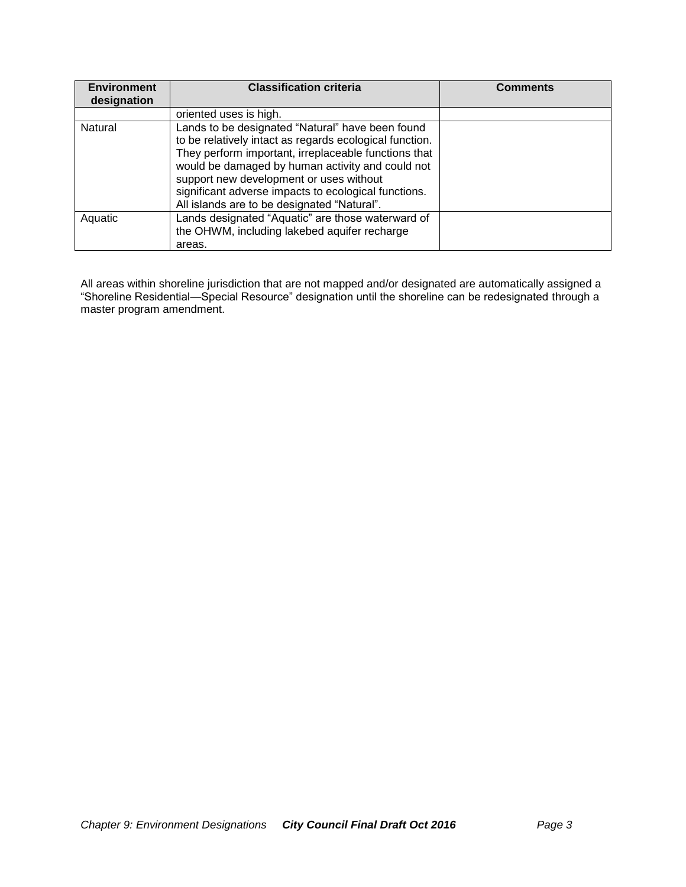| <b>Environment</b><br>designation | <b>Classification criteria</b>                                                                                                                                                                                                                                                                                                                                            | <b>Comments</b> |
|-----------------------------------|---------------------------------------------------------------------------------------------------------------------------------------------------------------------------------------------------------------------------------------------------------------------------------------------------------------------------------------------------------------------------|-----------------|
|                                   | oriented uses is high.                                                                                                                                                                                                                                                                                                                                                    |                 |
| Natural                           | Lands to be designated "Natural" have been found<br>to be relatively intact as regards ecological function.<br>They perform important, irreplaceable functions that<br>would be damaged by human activity and could not<br>support new development or uses without<br>significant adverse impacts to ecological functions.<br>All islands are to be designated "Natural". |                 |
| Aquatic                           | Lands designated "Aquatic" are those waterward of<br>the OHWM, including lakebed aquifer recharge<br>areas.                                                                                                                                                                                                                                                               |                 |

All areas within shoreline jurisdiction that are not mapped and/or designated are automatically assigned a "Shoreline Residential—Special Resource" designation until the shoreline can be redesignated through a master program amendment.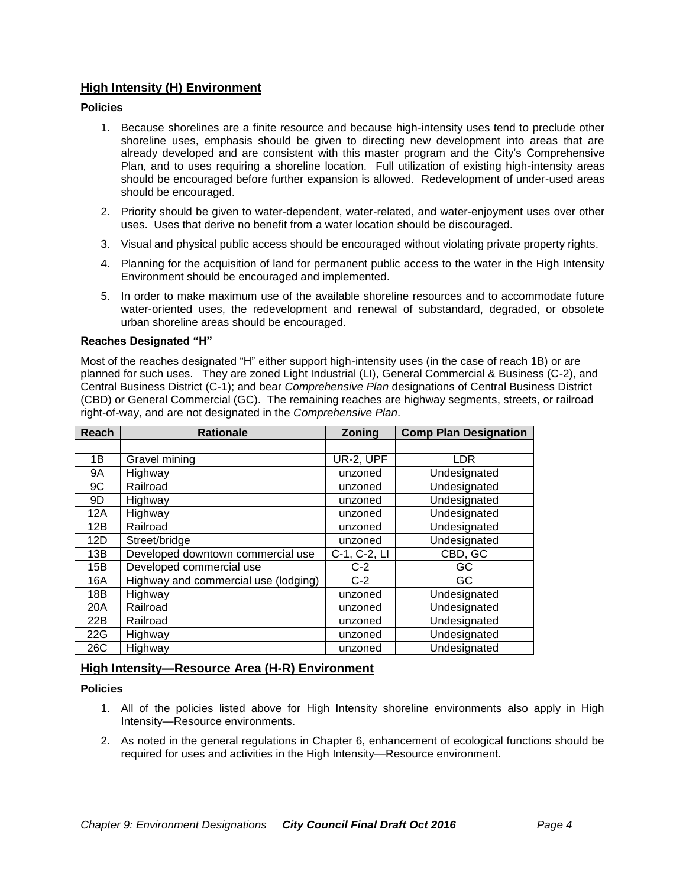# **High Intensity (H) Environment**

## **Policies**

- 1. Because shorelines are a finite resource and because high-intensity uses tend to preclude other shoreline uses, emphasis should be given to directing new development into areas that are already developed and are consistent with this master program and the City's Comprehensive Plan, and to uses requiring a shoreline location. Full utilization of existing high-intensity areas should be encouraged before further expansion is allowed. Redevelopment of under-used areas should be encouraged.
- 2. Priority should be given to water-dependent, water-related, and water-enjoyment uses over other uses. Uses that derive no benefit from a water location should be discouraged.
- 3. Visual and physical public access should be encouraged without violating private property rights.
- 4. Planning for the acquisition of land for permanent public access to the water in the High Intensity Environment should be encouraged and implemented.
- 5. In order to make maximum use of the available shoreline resources and to accommodate future water-oriented uses, the redevelopment and renewal of substandard, degraded, or obsolete urban shoreline areas should be encouraged.

## **Reaches Designated "H"**

Most of the reaches designated "H" either support high-intensity uses (in the case of reach 1B) or are planned for such uses. They are zoned Light Industrial (LI), General Commercial & Business (C-2), and Central Business District (C-1); and bear *Comprehensive Plan* designations of Central Business District (CBD) or General Commercial (GC). The remaining reaches are highway segments, streets, or railroad right-of-way, and are not designated in the *Comprehensive Plan*.

| Reach | <b>Rationale</b>                     | Zoning       | <b>Comp Plan Designation</b> |
|-------|--------------------------------------|--------------|------------------------------|
|       |                                      |              |                              |
| 1B    | Gravel mining                        | UR-2, UPF    | <b>LDR</b>                   |
| 9A    | Highway                              | unzoned      | Undesignated                 |
| 9C    | Railroad                             | unzoned      | Undesignated                 |
| 9D    | Highway                              | unzoned      | Undesignated                 |
| 12A   | Highway                              | unzoned      | Undesignated                 |
| 12B   | Railroad                             | unzoned      | Undesignated                 |
| 12D   | Street/bridge                        | unzoned      | Undesignated                 |
| 13B   | Developed downtown commercial use    | C-1, C-2, LI | CBD, GC                      |
| 15B   | Developed commercial use             | $C-2$        | GC                           |
| 16A   | Highway and commercial use (lodging) | $C-2$        | GC                           |
| 18B   | Highway                              | unzoned      | Undesignated                 |
| 20A   | Railroad                             | unzoned      | Undesignated                 |
| 22B   | Railroad                             | unzoned      | Undesignated                 |
| 22G   | Highway                              | unzoned      | Undesignated                 |
| 26C   | Highway                              | unzoned      | Undesignated                 |

# **High Intensity—Resource Area (H-R) Environment**

#### **Policies**

- 1. All of the policies listed above for High Intensity shoreline environments also apply in High Intensity—Resource environments.
- 2. As noted in the general regulations in Chapter 6, enhancement of ecological functions should be required for uses and activities in the High Intensity—Resource environment.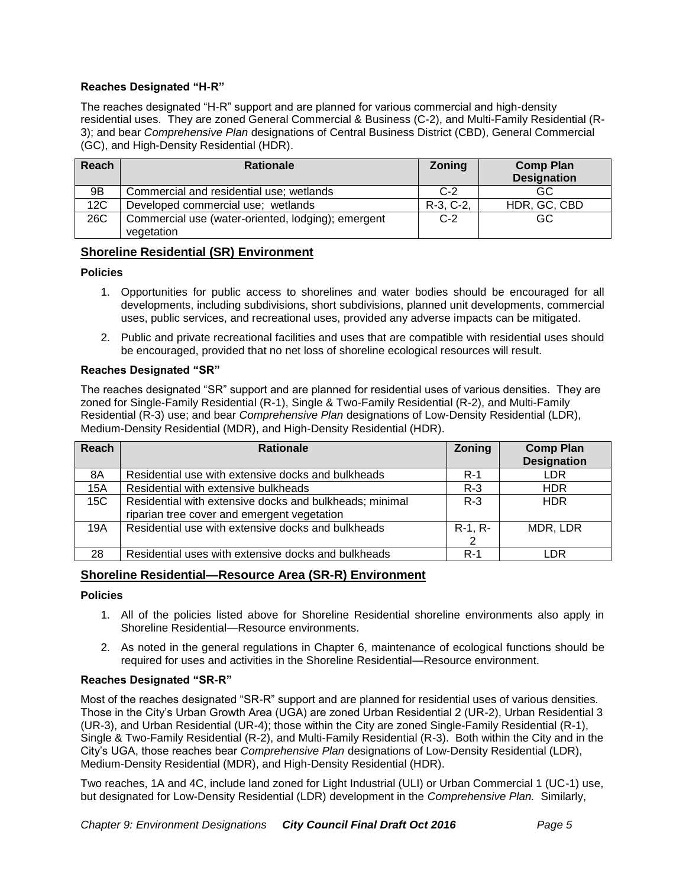# **Reaches Designated "H-R"**

The reaches designated "H-R" support and are planned for various commercial and high-density residential uses. They are zoned General Commercial & Business (C-2), and Multi-Family Residential (R-3); and bear *Comprehensive Plan* designations of Central Business District (CBD), General Commercial (GC), and High-Density Residential (HDR).

| <b>Reach</b> | <b>Rationale</b>                                   | <b>Zoning</b> | <b>Comp Plan</b><br><b>Designation</b> |
|--------------|----------------------------------------------------|---------------|----------------------------------------|
| 9B           | Commercial and residential use; wetlands           | $C-2$         | GC                                     |
|              |                                                    |               |                                        |
| 12C          | Developed commercial use; wetlands                 | R-3, C-2,     | HDR, GC, CBD                           |
| 26C          | Commercial use (water-oriented, lodging); emergent | $C-2$         | GC                                     |
|              | vegetation                                         |               |                                        |

## **Shoreline Residential (SR) Environment**

#### **Policies**

- 1. Opportunities for public access to shorelines and water bodies should be encouraged for all developments, including subdivisions, short subdivisions, planned unit developments, commercial uses, public services, and recreational uses, provided any adverse impacts can be mitigated.
- 2. Public and private recreational facilities and uses that are compatible with residential uses should be encouraged, provided that no net loss of shoreline ecological resources will result.

### **Reaches Designated "SR"**

The reaches designated "SR" support and are planned for residential uses of various densities. They are zoned for Single-Family Residential (R-1), Single & Two-Family Residential (R-2), and Multi-Family Residential (R-3) use; and bear *Comprehensive Plan* designations of Low-Density Residential (LDR), Medium-Density Residential (MDR), and High-Density Residential (HDR).

| Reach | <b>Rationale</b>                                        | <b>Zoning</b> | <b>Comp Plan</b>   |
|-------|---------------------------------------------------------|---------------|--------------------|
|       |                                                         |               | <b>Designation</b> |
| 8A    | Residential use with extensive docks and bulkheads      | $R-1$         | <b>LDR</b>         |
| 15A   | Residential with extensive bulkheads                    | $R-3$         | <b>HDR</b>         |
| 15C   | Residential with extensive docks and bulkheads; minimal | $R - 3$       | <b>HDR</b>         |
|       | riparian tree cover and emergent vegetation             |               |                    |
| 19A   | Residential use with extensive docks and bulkheads      | $R-1, R-$     | MDR, LDR           |
|       |                                                         | 2             |                    |
| 28    | Residential uses with extensive docks and bulkheads     | $R-1$         | LDR                |

# **Shoreline Residential—Resource Area (SR-R) Environment**

#### **Policies**

- 1. All of the policies listed above for Shoreline Residential shoreline environments also apply in Shoreline Residential—Resource environments.
- 2. As noted in the general regulations in Chapter 6, maintenance of ecological functions should be required for uses and activities in the Shoreline Residential—Resource environment.

#### **Reaches Designated "SR-R"**

Most of the reaches designated "SR-R" support and are planned for residential uses of various densities. Those in the City's Urban Growth Area (UGA) are zoned Urban Residential 2 (UR-2), Urban Residential 3 (UR-3), and Urban Residential (UR-4); those within the City are zoned Single-Family Residential (R-1), Single & Two-Family Residential (R-2), and Multi-Family Residential (R-3). Both within the City and in the City's UGA, those reaches bear *Comprehensive Plan* designations of Low-Density Residential (LDR), Medium-Density Residential (MDR), and High-Density Residential (HDR).

Two reaches, 1A and 4C, include land zoned for Light Industrial (ULI) or Urban Commercial 1 (UC-1) use, but designated for Low-Density Residential (LDR) development in the *Comprehensive Plan.* Similarly,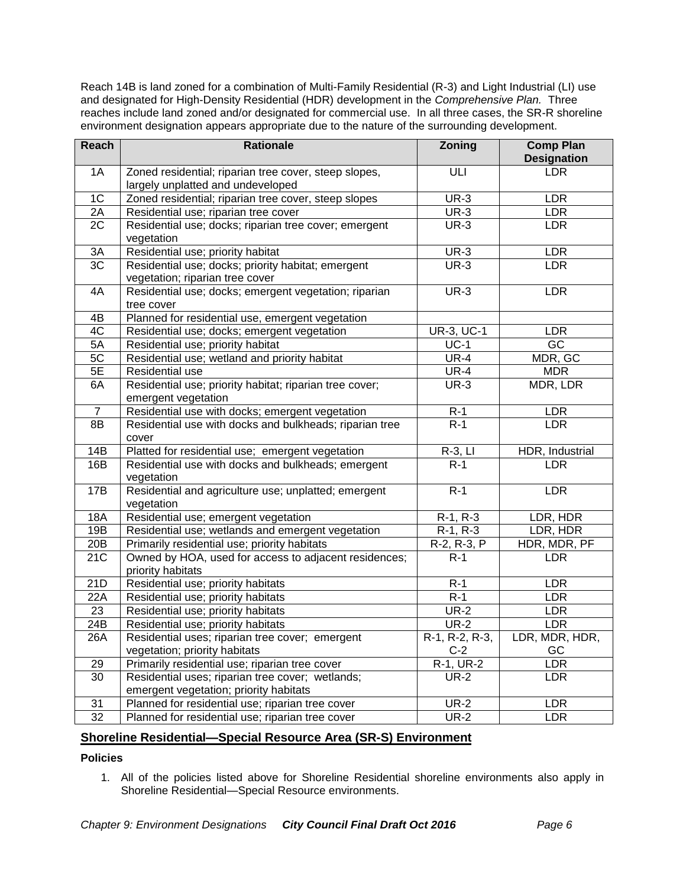Reach 14B is land zoned for a combination of Multi-Family Residential (R-3) and Light Industrial (LI) use and designated for High-Density Residential (HDR) development in the *Comprehensive Plan.* Three reaches include land zoned and/or designated for commercial use. In all three cases, the SR-R shoreline environment designation appears appropriate due to the nature of the surrounding development.

| <b>Reach</b>      | <b>Rationale</b>                                                                           | <b>Zoning</b>            | <b>Comp Plan</b><br><b>Designation</b> |
|-------------------|--------------------------------------------------------------------------------------------|--------------------------|----------------------------------------|
| 1A                | Zoned residential; riparian tree cover, steep slopes,<br>largely unplatted and undeveloped | ULI                      | <b>LDR</b>                             |
| 1 <sup>C</sup>    | Zoned residential; riparian tree cover, steep slopes                                       | $UR-3$                   | <b>LDR</b>                             |
| 2A                | Residential use; riparian tree cover                                                       | $UR-3$                   | <b>LDR</b>                             |
| 2C                | Residential use; docks; riparian tree cover; emergent                                      | <b>UR-3</b>              | <b>LDR</b>                             |
|                   | vegetation                                                                                 |                          |                                        |
| 3A                | Residential use; priority habitat                                                          | $UR-3$                   | LDR                                    |
| 3C                | Residential use; docks; priority habitat; emergent<br>vegetation; riparian tree cover      | <b>UR-3</b>              | <b>LDR</b>                             |
| 4A                | Residential use; docks; emergent vegetation; riparian<br>tree cover                        | $UR-3$                   | <b>LDR</b>                             |
| 4B                | Planned for residential use, emergent vegetation                                           |                          |                                        |
| 4C                | Residential use; docks; emergent vegetation                                                | <b>UR-3, UC-1</b>        | <b>LDR</b>                             |
| 5A                | Residential use; priority habitat                                                          | $UC-1$                   | $\overline{GC}$                        |
| 5C                | Residential use; wetland and priority habitat                                              | $UR-4$                   | MDR, GC                                |
| 5E                | Residential use                                                                            | $UR-4$                   | <b>MDR</b>                             |
| 6A                | Residential use; priority habitat; riparian tree cover;                                    | $UR-3$                   | MDR, LDR                               |
|                   | emergent vegetation                                                                        |                          |                                        |
| 7                 | Residential use with docks; emergent vegetation                                            | $R-1$                    | LDR                                    |
| 8B                | Residential use with docks and bulkheads; riparian tree<br>cover                           | $R-1$                    | <b>LDR</b>                             |
| 14B               | Platted for residential use; emergent vegetation                                           | $R-3$ , LI               | HDR, Industrial                        |
| 16B               | Residential use with docks and bulkheads; emergent<br>vegetation                           | $R-1$                    | <b>LDR</b>                             |
| 17B               | Residential and agriculture use; unplatted; emergent<br>vegetation                         | $R-1$                    | <b>LDR</b>                             |
| 18A               | Residential use; emergent vegetation                                                       | $R-1, R-3$               | LDR, HDR                               |
| 19B               | Residential use; wetlands and emergent vegetation                                          | $R-1, R-3$               | LDR, HDR                               |
| 20B               | Primarily residential use; priority habitats                                               | R-2, R-3, P              | HDR, MDR, PF                           |
| $\overline{21}$ C | Owned by HOA, used for access to adjacent residences;<br>priority habitats                 | $R-1$                    | <b>LDR</b>                             |
| 21D               | Residential use; priority habitats                                                         | $R-1$                    | LDR                                    |
| 22A               | Residential use; priority habitats                                                         | $R-1$                    | <b>LDR</b>                             |
| 23                | Residential use; priority habitats                                                         | $\overline{\text{UR-2}}$ | <b>LDR</b>                             |
| 24B               | Residential use; priority habitats                                                         | $UR-2$                   | <b>LDR</b>                             |
| 26A               | Residential uses; riparian tree cover; emergent                                            | $R-1, R-2, R-3,$         | LDR, MDR, HDR,                         |
|                   | vegetation; priority habitats                                                              | $C-2$                    | GC                                     |
| 29                | Primarily residential use; riparian tree cover                                             | R-1, UR-2                | <b>LDR</b>                             |
| $\overline{30}$   | Residential uses; riparian tree cover; wetlands;                                           | $UR-2$                   | <b>LDR</b>                             |
|                   | emergent vegetation; priority habitats                                                     |                          |                                        |
| 31                | Planned for residential use; riparian tree cover                                           | <b>UR-2</b>              | LDR                                    |
| 32                | Planned for residential use; riparian tree cover                                           | $UR-2$                   | <b>LDR</b>                             |

# **Shoreline Residential—Special Resource Area (SR-S) Environment**

#### **Policies**

1. All of the policies listed above for Shoreline Residential shoreline environments also apply in Shoreline Residential—Special Resource environments.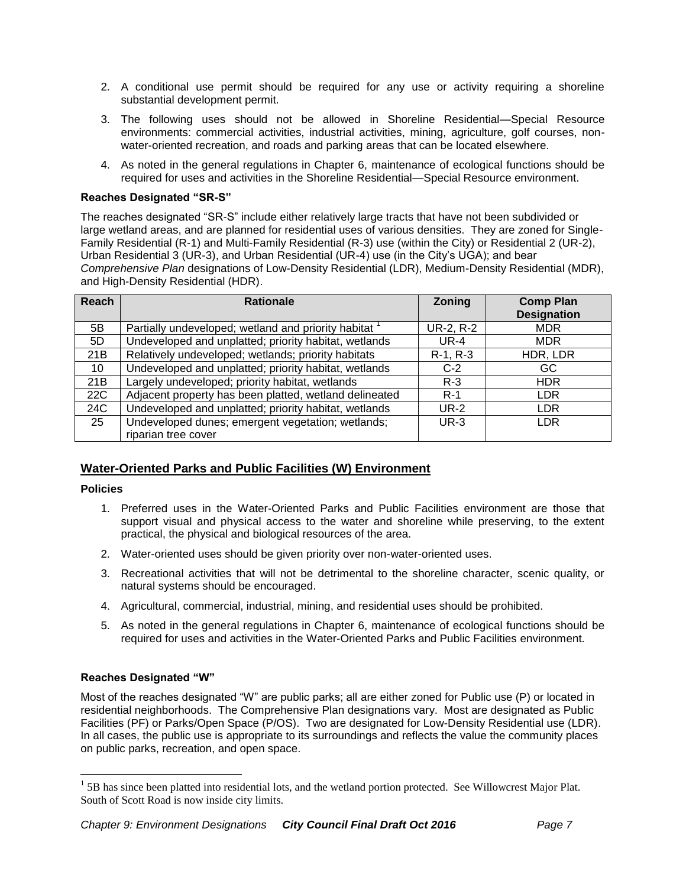- 2. A conditional use permit should be required for any use or activity requiring a shoreline substantial development permit.
- 3. The following uses should not be allowed in Shoreline Residential—Special Resource environments: commercial activities, industrial activities, mining, agriculture, golf courses, nonwater-oriented recreation, and roads and parking areas that can be located elsewhere.
- 4. As noted in the general regulations in Chapter 6, maintenance of ecological functions should be required for uses and activities in the Shoreline Residential—Special Resource environment.

# **Reaches Designated "SR-S"**

The reaches designated "SR-S" include either relatively large tracts that have not been subdivided or large wetland areas, and are planned for residential uses of various densities. They are zoned for Single-Family Residential (R-1) and Multi-Family Residential (R-3) use (within the City) or Residential 2 (UR-2), Urban Residential 3 (UR-3), and Urban Residential (UR-4) use (in the City's UGA); and bear *Comprehensive Plan* designations of Low-Density Residential (LDR), Medium-Density Residential (MDR), and High-Density Residential (HDR).

| Reach | <b>Rationale</b>                                       | Zoning      | <b>Comp Plan</b><br><b>Designation</b> |
|-------|--------------------------------------------------------|-------------|----------------------------------------|
| 5B    | Partially undeveloped; wetland and priority habitat    | UR-2, R-2   | <b>MDR</b>                             |
| 5D    | Undeveloped and unplatted; priority habitat, wetlands  | <b>UR-4</b> | <b>MDR</b>                             |
| 21B   | Relatively undeveloped; wetlands; priority habitats    | $R-1, R-3$  | HDR, LDR                               |
| 10    | Undeveloped and unplatted; priority habitat, wetlands  | $C-2$       | GC                                     |
| 21B   | Largely undeveloped; priority habitat, wetlands        | $R - 3$     | <b>HDR</b>                             |
| 22C   | Adjacent property has been platted, wetland delineated | $R-1$       | <b>LDR</b>                             |
| 24C   | Undeveloped and unplatted; priority habitat, wetlands  | <b>UR-2</b> | <b>LDR</b>                             |
| 25    | Undeveloped dunes; emergent vegetation; wetlands;      | $UR-3$      | <b>LDR</b>                             |
|       | riparian tree cover                                    |             |                                        |

# **Water-Oriented Parks and Public Facilities (W) Environment**

# **Policies**

 $\overline{a}$ 

- 1. Preferred uses in the Water-Oriented Parks and Public Facilities environment are those that support visual and physical access to the water and shoreline while preserving, to the extent practical, the physical and biological resources of the area.
- 2. Water-oriented uses should be given priority over non-water-oriented uses.
- 3. Recreational activities that will not be detrimental to the shoreline character, scenic quality, or natural systems should be encouraged.
- 4. Agricultural, commercial, industrial, mining, and residential uses should be prohibited.
- 5. As noted in the general regulations in Chapter 6, maintenance of ecological functions should be required for uses and activities in the Water-Oriented Parks and Public Facilities environment.

# **Reaches Designated "W"**

Most of the reaches designated "W" are public parks; all are either zoned for Public use (P) or located in residential neighborhoods. The Comprehensive Plan designations vary. Most are designated as Public Facilities (PF) or Parks/Open Space (P/OS). Two are designated for Low-Density Residential use (LDR). In all cases, the public use is appropriate to its surroundings and reflects the value the community places on public parks, recreation, and open space.

 $<sup>1</sup>$  5B has since been platted into residential lots, and the wetland portion protected. See Willowcrest Major Plat.</sup> South of Scott Road is now inside city limits.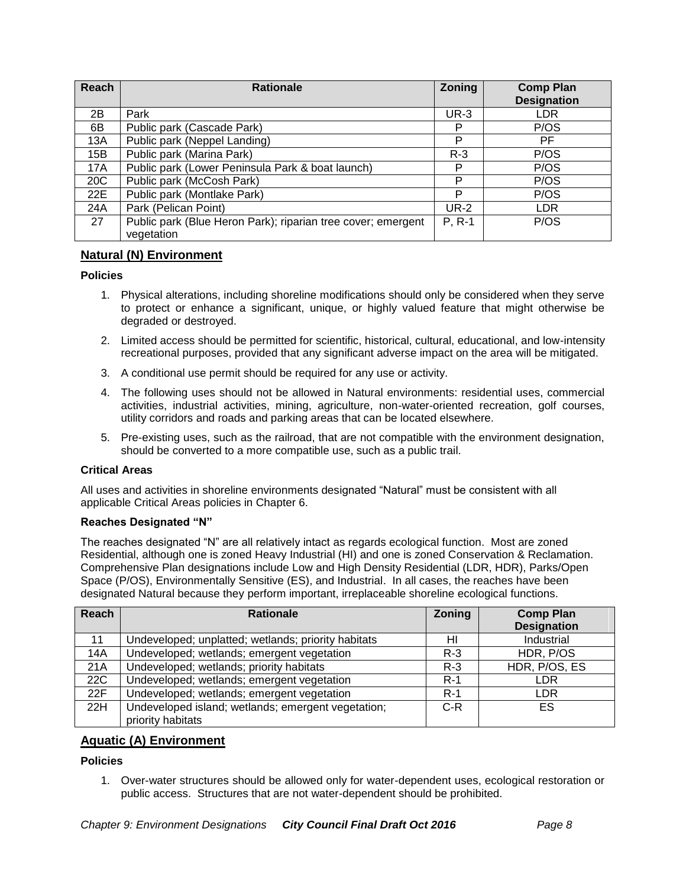| Reach | <b>Rationale</b>                                                           | Zoning      | <b>Comp Plan</b><br><b>Designation</b> |
|-------|----------------------------------------------------------------------------|-------------|----------------------------------------|
| 2B    | Park                                                                       | $UR-3$      | LDR                                    |
| 6B    | Public park (Cascade Park)                                                 | P           | P/OS                                   |
| 13A   | Public park (Neppel Landing)                                               | P           | PF                                     |
| 15B   | Public park (Marina Park)                                                  | $R-3$       | P/OS                                   |
| 17A   | Public park (Lower Peninsula Park & boat launch)                           | P           | P/OS                                   |
| 20C   | Public park (McCosh Park)                                                  | P           | P/OS                                   |
| 22E   | Public park (Montlake Park)                                                | P           | P/OS                                   |
| 24A   | Park (Pelican Point)                                                       | <b>UR-2</b> | LDR.                                   |
| 27    | Public park (Blue Heron Park); riparian tree cover; emergent<br>vegetation | $P, R-1$    | P/OS                                   |

# **Natural (N) Environment**

## **Policies**

- 1. Physical alterations, including shoreline modifications should only be considered when they serve to protect or enhance a significant, unique, or highly valued feature that might otherwise be degraded or destroyed.
- 2. Limited access should be permitted for scientific, historical, cultural, educational, and low-intensity recreational purposes, provided that any significant adverse impact on the area will be mitigated.
- 3. A conditional use permit should be required for any use or activity.
- 4. The following uses should not be allowed in Natural environments: residential uses, commercial activities, industrial activities, mining, agriculture, non-water-oriented recreation, golf courses, utility corridors and roads and parking areas that can be located elsewhere.
- 5. Pre-existing uses, such as the railroad, that are not compatible with the environment designation, should be converted to a more compatible use, such as a public trail.

#### **Critical Areas**

All uses and activities in shoreline environments designated "Natural" must be consistent with all applicable Critical Areas policies in Chapter 6.

#### **Reaches Designated "N"**

The reaches designated "N" are all relatively intact as regards ecological function. Most are zoned Residential, although one is zoned Heavy Industrial (HI) and one is zoned Conservation & Reclamation. Comprehensive Plan designations include Low and High Density Residential (LDR, HDR), Parks/Open Space (P/OS), Environmentally Sensitive (ES), and Industrial. In all cases, the reaches have been designated Natural because they perform important, irreplaceable shoreline ecological functions.

| Reach | <b>Rationale</b>                                    | Zoning  | <b>Comp Plan</b><br><b>Designation</b> |
|-------|-----------------------------------------------------|---------|----------------------------------------|
| 11    | Undeveloped; unplatted; wetlands; priority habitats | HI      | Industrial                             |
| 14A   | Undeveloped; wetlands; emergent vegetation          | $R-3$   | HDR, P/OS                              |
| 21A   | Undeveloped; wetlands; priority habitats            | $R - 3$ | HDR, P/OS, ES                          |
| 22C   | Undeveloped; wetlands; emergent vegetation          | $R-1$   | LDR                                    |
| 22F   | Undeveloped; wetlands; emergent vegetation          | $R-1$   | LDR                                    |
| 22H   | Undeveloped island; wetlands; emergent vegetation;  | C-R     | ES                                     |
|       | priority habitats                                   |         |                                        |

# **Aquatic (A) Environment**

### **Policies**

1. Over-water structures should be allowed only for water-dependent uses, ecological restoration or public access. Structures that are not water-dependent should be prohibited.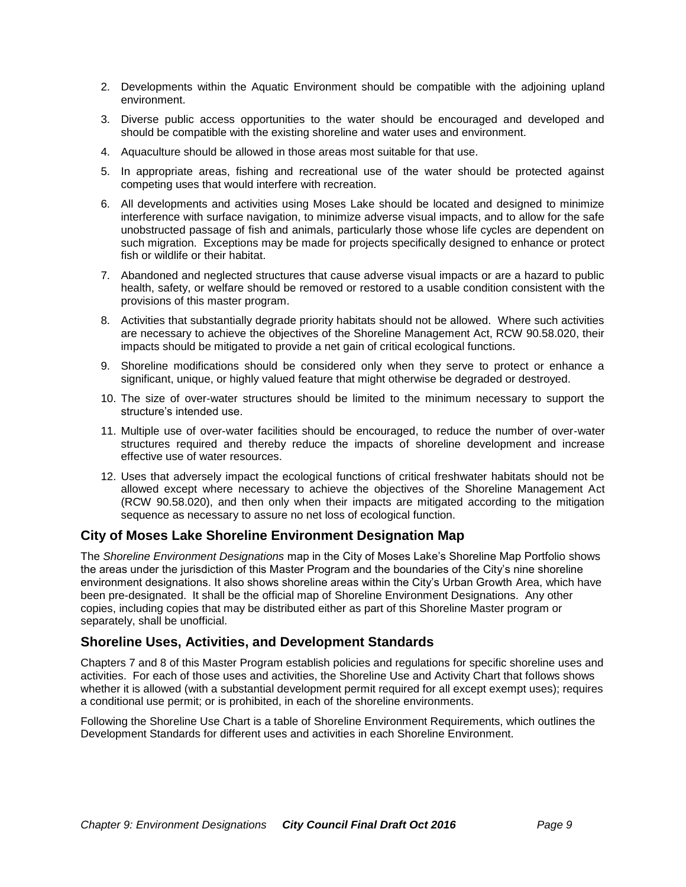- 2. Developments within the Aquatic Environment should be compatible with the adjoining upland environment.
- 3. Diverse public access opportunities to the water should be encouraged and developed and should be compatible with the existing shoreline and water uses and environment.
- 4. Aquaculture should be allowed in those areas most suitable for that use.
- 5. In appropriate areas, fishing and recreational use of the water should be protected against competing uses that would interfere with recreation.
- 6. All developments and activities using Moses Lake should be located and designed to minimize interference with surface navigation, to minimize adverse visual impacts, and to allow for the safe unobstructed passage of fish and animals, particularly those whose life cycles are dependent on such migration. Exceptions may be made for projects specifically designed to enhance or protect fish or wildlife or their habitat.
- 7. Abandoned and neglected structures that cause adverse visual impacts or are a hazard to public health, safety, or welfare should be removed or restored to a usable condition consistent with the provisions of this master program.
- 8. Activities that substantially degrade priority habitats should not be allowed. Where such activities are necessary to achieve the objectives of the Shoreline Management Act, RCW 90.58.020, their impacts should be mitigated to provide a net gain of critical ecological functions.
- 9. Shoreline modifications should be considered only when they serve to protect or enhance a significant, unique, or highly valued feature that might otherwise be degraded or destroyed.
- 10. The size of over-water structures should be limited to the minimum necessary to support the structure's intended use.
- 11. Multiple use of over-water facilities should be encouraged, to reduce the number of over-water structures required and thereby reduce the impacts of shoreline development and increase effective use of water resources.
- 12. Uses that adversely impact the ecological functions of critical freshwater habitats should not be allowed except where necessary to achieve the objectives of the Shoreline Management Act (RCW 90.58.020), and then only when their impacts are mitigated according to the mitigation sequence as necessary to assure no net loss of ecological function.

# **City of Moses Lake Shoreline Environment Designation Map**

The *Shoreline Environment Designations* map in the City of Moses Lake's Shoreline Map Portfolio shows the areas under the jurisdiction of this Master Program and the boundaries of the City's nine shoreline environment designations. It also shows shoreline areas within the City's Urban Growth Area, which have been pre-designated. It shall be the official map of Shoreline Environment Designations. Any other copies, including copies that may be distributed either as part of this Shoreline Master program or separately, shall be unofficial.

# **Shoreline Uses, Activities, and Development Standards**

Chapters 7 and 8 of this Master Program establish policies and regulations for specific shoreline uses and activities. For each of those uses and activities, the Shoreline Use and Activity Chart that follows shows whether it is allowed (with a substantial development permit required for all except exempt uses); requires a conditional use permit; or is prohibited, in each of the shoreline environments.

Following the Shoreline Use Chart is a table of Shoreline Environment Requirements, which outlines the Development Standards for different uses and activities in each Shoreline Environment.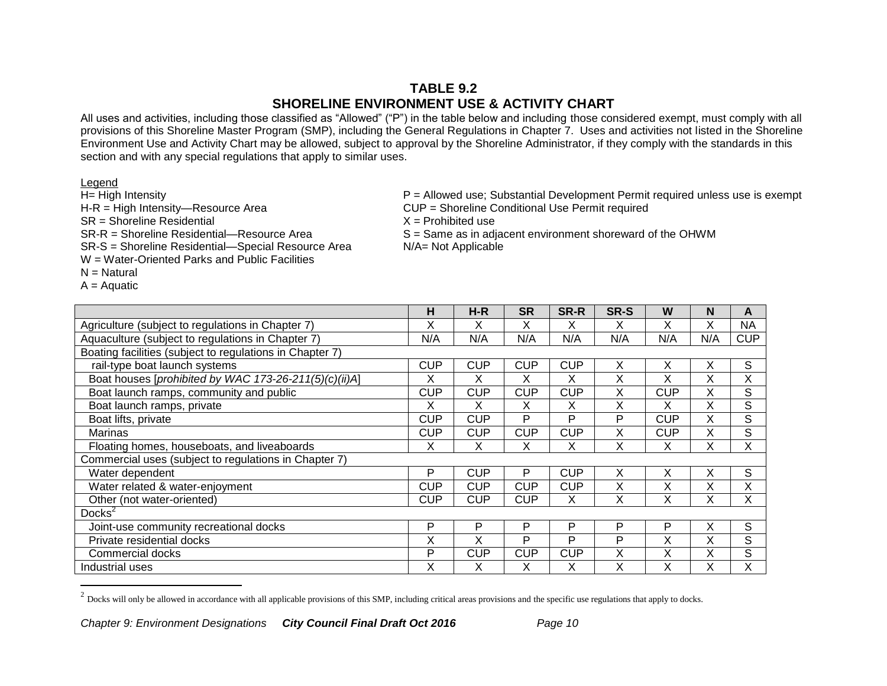# **TABLE 9.2 SHORELINE ENVIRONMENT USE & ACTIVITY CHART**

All uses and activities, including those classified as "Allowed" ("P") in the table below and including those considered exempt, must comply with all provisions of this Shoreline Master Program (SMP), including the General Regulations in Chapter 7. Uses and activities not listed in the Shoreline Environment Use and Activity Chart may be allowed, subject to approval by the Shoreline Administrator, if they comply with the standards in this section and with any special regulations that apply to similar uses.

 $A =$  Aquatic

 $\overline{a}$ 

Legend<br>H= High Intensity H-R = High Intensity—Resource Area CUP = Shoreline Conditional Use Permit required  $SR = Shoreline Residental$   $X = Prohibited use$ SR-R = Shoreline Residential—Resource Area  $S =$  Same as in adjacent environment shoreward of the OHWM<br>SR-S = Shoreline Residential—Special Resource Area  $N/A =$  Not Applicable SR-S = Shoreline Residential-Special Resource Area W = Water-Oriented Parks and Public Facilities  $N =$  Natural

 $P =$  Allowed use; Substantial Development Permit required unless use is exempt

|                                                          | н          | $H-R$      | <b>SR</b>  | SR-R       | SR-S | W          | N   | A           |
|----------------------------------------------------------|------------|------------|------------|------------|------|------------|-----|-------------|
| Agriculture (subject to regulations in Chapter 7)        | X          | X          | X          | X          | X    | X          | Χ   | <b>NA</b>   |
| Aquaculture (subject to regulations in Chapter 7)        | N/A        | N/A        | N/A        | N/A        | N/A  | N/A        | N/A | <b>CUP</b>  |
| Boating facilities (subject to regulations in Chapter 7) |            |            |            |            |      |            |     |             |
| rail-type boat launch systems                            | CUP        | <b>CUP</b> | <b>CUP</b> | <b>CUP</b> | X    | X          | Х   | S           |
| Boat houses [prohibited by WAC 173-26-211(5)(c)(ii)A]    | X          | X          | X          | X          | Χ    | X          | Χ   | Χ           |
| Boat launch ramps, community and public                  | <b>CUP</b> | <b>CUP</b> | <b>CUP</b> | <b>CUP</b> | X    | <b>CUP</b> | Χ   | S           |
| Boat launch ramps, private                               | X          | X          | Χ          | X          | Χ    | X          | Χ   | $\mathsf S$ |
| Boat lifts, private                                      | CUP        | <b>CUP</b> | P          | P          | P    | <b>CUP</b> | X   | $\mathsf S$ |
| Marinas                                                  | <b>CUP</b> | <b>CUP</b> | <b>CUP</b> | <b>CUP</b> | Χ    | <b>CUP</b> | Χ   | $\mathsf S$ |
| Floating homes, houseboats, and liveaboards              | X          | х          | х          | X          | Χ    | х          | Χ   | Χ           |
| Commercial uses (subject to regulations in Chapter 7)    |            |            |            |            |      |            |     |             |
| Water dependent                                          | P          | <b>CUP</b> | P          | <b>CUP</b> | X    | X          | X   | S           |
| Water related & water-enjoyment                          | <b>CUP</b> | <b>CUP</b> | <b>CUP</b> | <b>CUP</b> | Χ    | Χ          | Χ   | Χ           |
| Other (not water-oriented)                               | CUP        | <b>CUP</b> | <b>CUP</b> | X          | Χ    | X          | Χ   | Χ           |
| Docks <sup>2</sup>                                       |            |            |            |            |      |            |     |             |
| Joint-use community recreational docks                   | P          | P          | P          | P          | P    | P          | Χ   | S           |
| Private residential docks                                | X          | X          | P          | P          | P    | Χ          | Χ   | S           |
| Commercial docks                                         | P          | <b>CUP</b> | <b>CUP</b> | <b>CUP</b> | Χ    | X          | X   | $\mathsf S$ |
| Industrial uses                                          | X          | X          | X          | X          | Χ    | X          | Χ   | X           |

 $^2$  Docks will only be allowed in accordance with all applicable provisions of this SMP, including critical areas provisions and the specific use regulations that apply to docks.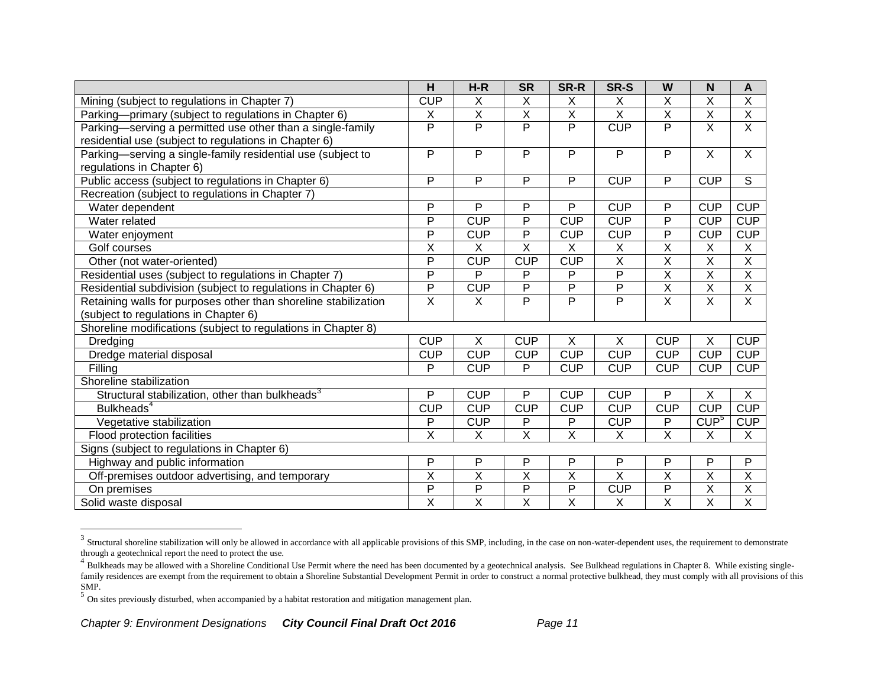|                                                                                          | H                       | $H-R$                   | <b>SR</b>               | SR-R                    | SR-S                    | W                       | N                       | A                       |
|------------------------------------------------------------------------------------------|-------------------------|-------------------------|-------------------------|-------------------------|-------------------------|-------------------------|-------------------------|-------------------------|
| Mining (subject to regulations in Chapter 7)                                             | <b>CUP</b>              | X                       | X                       | X                       | X                       | X                       | X                       | $\overline{X}$          |
| Parking-primary (subject to regulations in Chapter 6)                                    | Χ                       | $\overline{\mathsf{X}}$ | $\overline{\mathsf{x}}$ | $\overline{\mathsf{X}}$ | $\overline{X}$          | $\overline{\mathsf{x}}$ | $\overline{\mathsf{x}}$ | $\overline{X}$          |
| Parking-serving a permitted use other than a single-family                               | P                       | $\overline{P}$          | $\overline{P}$          | P                       | <b>CUP</b>              | P                       | X                       | X                       |
| residential use (subject to regulations in Chapter 6)                                    |                         |                         |                         |                         |                         |                         |                         |                         |
| Parking—serving a single-family residential use (subject to<br>regulations in Chapter 6) | P                       | P                       | P                       | P                       | P                       | P                       | $\overline{X}$          | $\mathsf{X}$            |
| Public access (subject to regulations in Chapter 6)                                      | P                       | P                       | $\overline{P}$          | $\overline{P}$          | <b>CUP</b>              | $\overline{P}$          | <b>CUP</b>              | $\overline{s}$          |
| Recreation (subject to regulations in Chapter 7)                                         |                         |                         |                         |                         |                         |                         |                         |                         |
| Water dependent                                                                          | P                       | P                       | P                       | P                       | <b>CUP</b>              | P                       | <b>CUP</b>              | <b>CUP</b>              |
| Water related                                                                            | $\overline{P}$          | CUP                     | $\overline{P}$          | <b>CUP</b>              | <b>CUP</b>              | $\overline{P}$          | <b>CUP</b>              | <b>CUP</b>              |
| Water enjoyment                                                                          | $\overline{P}$          | <b>CUP</b>              | $\overline{P}$          | <b>CUP</b>              | <b>CUP</b>              | $\overline{P}$          | <b>CUP</b>              | <b>CUP</b>              |
| Golf courses                                                                             | $\overline{\mathsf{x}}$ | X                       | $\overline{X}$          | X                       | X                       | X                       | X                       | X                       |
| Other (not water-oriented)                                                               | $\overline{P}$          | <b>CUP</b>              | <b>CUP</b>              | <b>CUP</b>              | $\overline{\mathsf{X}}$ | $\overline{\mathsf{X}}$ | $\overline{\mathsf{x}}$ | $\overline{\mathsf{X}}$ |
| Residential uses (subject to regulations in Chapter 7)                                   | $\overline{P}$          | P                       | P                       | P                       | $\overline{P}$          | $\overline{\mathsf{x}}$ | $\overline{\mathsf{x}}$ | $\overline{\mathsf{x}}$ |
| Residential subdivision (subject to regulations in Chapter 6)                            | $\overline{P}$          | <b>CUP</b>              | $\overline{P}$          | P                       | P                       | $\overline{X}$          | X                       | $\mathsf X$             |
| Retaining walls for purposes other than shoreline stabilization                          | $\overline{\mathsf{x}}$ | $\overline{X}$          | $\overline{P}$          | $\overline{P}$          | $\overline{\mathsf{P}}$ | $\overline{X}$          | $\overline{\mathsf{x}}$ | $\overline{\mathsf{x}}$ |
| (subject to regulations in Chapter 6)                                                    |                         |                         |                         |                         |                         |                         |                         |                         |
| Shoreline modifications (subject to regulations in Chapter 8)                            |                         |                         |                         |                         |                         |                         |                         |                         |
| Dredging                                                                                 | <b>CUP</b>              | X                       | <b>CUP</b>              | X                       | X                       | <b>CUP</b>              | X                       | <b>CUP</b>              |
| Dredge material disposal                                                                 | <b>CUP</b>              | <b>CUP</b>              | <b>CUP</b>              | <b>CUP</b>              | <b>CUP</b>              | <b>CUP</b>              | <b>CUP</b>              | <b>CUP</b>              |
| Filling                                                                                  | P                       | <b>CUP</b>              | P                       | <b>CUP</b>              | <b>CUP</b>              | <b>CUP</b>              | <b>CUP</b>              | <b>CUP</b>              |
| Shoreline stabilization                                                                  |                         |                         |                         |                         |                         |                         |                         |                         |
| Structural stabilization, other than bulkheads <sup>3</sup>                              | P                       | <b>CUP</b>              | P                       | <b>CUP</b>              | <b>CUP</b>              | P                       | X                       | $\overline{X}$          |
| Bulkheads <sup>4</sup>                                                                   | <b>CUP</b>              | <b>CUP</b>              | <b>CUP</b>              | <b>CUP</b>              | <b>CUP</b>              | <b>CUP</b>              | <b>CUP</b>              | <b>CUP</b>              |
| Vegetative stabilization                                                                 | P                       | <b>CUP</b>              | P                       | P                       | <b>CUP</b>              | P                       | CUP <sup>5</sup>        | <b>CUP</b>              |
| Flood protection facilities                                                              | $\overline{X}$          | X                       | $\overline{\mathsf{x}}$ | $\overline{X}$          | X                       | $\overline{X}$          | X                       | X                       |
| Signs (subject to regulations in Chapter 6)                                              |                         |                         |                         |                         |                         |                         |                         |                         |
| Highway and public information                                                           | P                       | P                       | P                       | P                       | P                       | P                       | P                       | P                       |
| Off-premises outdoor advertising, and temporary                                          | $\overline{\mathsf{x}}$ | $\overline{\mathsf{x}}$ | $\overline{\mathsf{x}}$ | $\overline{\mathsf{x}}$ | $\overline{\mathsf{x}}$ | $\overline{\mathsf{x}}$ | $\overline{\mathsf{x}}$ | $\overline{X}$          |
| On premises                                                                              | $\overline{P}$          | $\overline{P}$          | $\overline{P}$          | P                       | <b>CUP</b>              | P                       | X                       | X                       |
| Solid waste disposal                                                                     | $\overline{\mathsf{x}}$ | $\overline{\mathsf{x}}$ | $\overline{X}$          | $\overline{\mathsf{x}}$ | $\overline{X}$          | $\overline{\mathsf{X}}$ | $\overline{\mathsf{x}}$ | $\overline{\mathsf{x}}$ |

 $\frac{3}{3}$  Structural shoreline stabilization will only be allowed in accordance with all applicable provisions of this SMP, including, in the case on non-water-dependent uses, the requirement to demonstrate through a geotechnical report the need to protect the use.

<sup>&</sup>lt;sup>4</sup> Bulkheads may be allowed with a Shoreline Conditional Use Permit where the need has been documented by a geotechnical analysis. See Bulkhead regulations in Chapter 8. While existing singlefamily residences are exempt from the requirement to obtain a Shoreline Substantial Development Permit in order to construct a normal protective bulkhead, they must comply with all provisions of this SMP.

 $<sup>5</sup>$  On sites previously disturbed, when accompanied by a habitat restoration and mitigation management plan.</sup>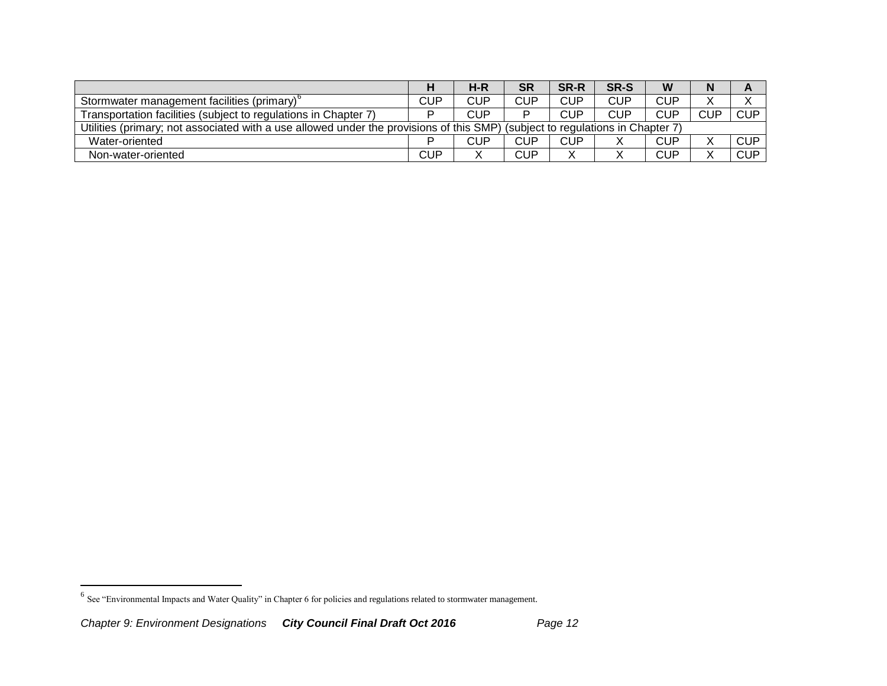|                                                                                                                               |            | H-R | <b>SR</b>  | <b>SR-R</b> | SR-S       | W          | N          |            |
|-------------------------------------------------------------------------------------------------------------------------------|------------|-----|------------|-------------|------------|------------|------------|------------|
| Stormwater management facilities (primary) <sup>t</sup>                                                                       | <b>CUP</b> | CUP | <b>CUP</b> | CUP         | <b>CUP</b> | <b>CUP</b> |            |            |
| Transportation facilities (subject to regulations in Chapter 7)                                                               | ם          | CUP |            | CUP         | <b>CUP</b> | <b>CUP</b> | <b>CUP</b> | <b>CUP</b> |
| Utilities (primary; not associated with a use allowed under the provisions of this SMP) (subject to regulations in Chapter 7) |            |     |            |             |            |            |            |            |
| Water-oriented                                                                                                                | ם          | CUP | <b>CUP</b> | CUP         |            | <b>CUP</b> |            | <b>CUP</b> |
| Non-water-oriented                                                                                                            | <b>CUP</b> |     | <b>CUP</b> | v           |            | <b>CUP</b> |            | <b>CUP</b> |

 6 See "Environmental Impacts and Water Quality" in Chapter 6 for policies and regulations related to stormwater management.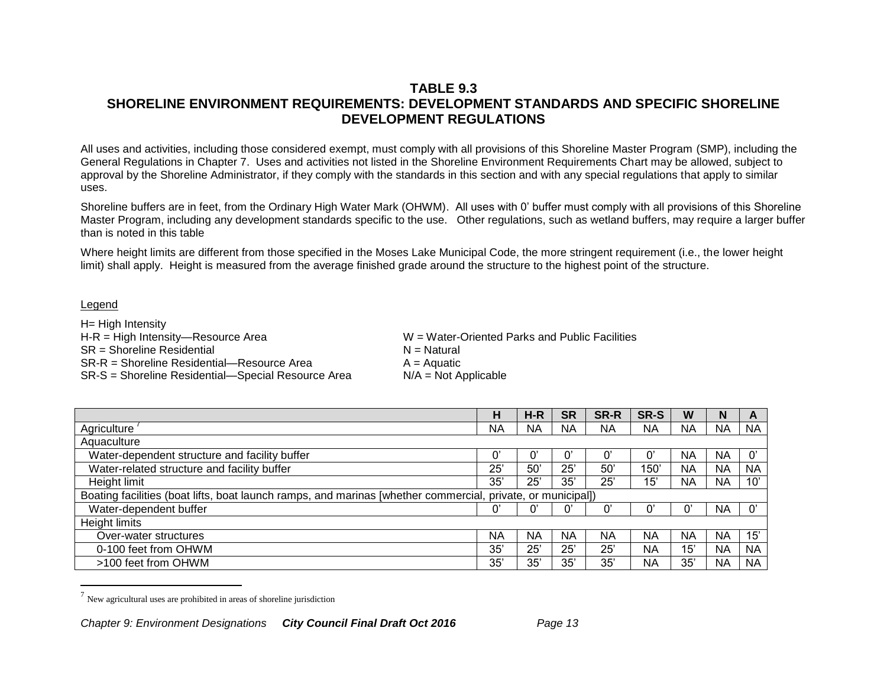# **TABLE 9.3 SHORELINE ENVIRONMENT REQUIREMENTS: DEVELOPMENT STANDARDS AND SPECIFIC SHORELINE DEVELOPMENT REGULATIONS**

All uses and activities, including those considered exempt, must comply with all provisions of this Shoreline Master Program (SMP), including the General Regulations in Chapter 7. Uses and activities not listed in the Shoreline Environment Requirements Chart may be allowed, subject to approval by the Shoreline Administrator, if they comply with the standards in this section and with any special regulations that apply to similar uses.

Shoreline buffers are in feet, from the Ordinary High Water Mark (OHWM). All uses with 0' buffer must comply with all provisions of this Shoreline Master Program, including any development standards specific to the use. Other regulations, such as wetland buffers, may require a larger buffer than is noted in this table

Where height limits are different from those specified in the Moses Lake Municipal Code, the more stringent requirement (i.e., the lower height limit) shall apply. Height is measured from the average finished grade around the structure to the highest point of the structure.

#### Legend

 $\overline{a}$ 

H= High Intensity H-R = High Intensity—Resource Area W = Water-Oriented Parks and Public Facilities  $SR =$ Shoreline Residential  $N =$ Natural SR-R = Shoreline Residential—Resource Area  $A = A$ quatic<br>SR-S = Shoreline Residential—Special Resource Area  $N/A = Not$  Applicable SR-S = Shoreline Residential—Special Resource Area

|                                                                                                             | н         | $H-R$     | <b>SR</b>    | <b>SR-R</b>           | SR-S      | W         | N         | A                     |
|-------------------------------------------------------------------------------------------------------------|-----------|-----------|--------------|-----------------------|-----------|-----------|-----------|-----------------------|
| Agriculture                                                                                                 | <b>NA</b> | <b>NA</b> | <b>NA</b>    | <b>NA</b>             | ΝA        | ΝA        | <b>NA</b> | <b>NA</b>             |
| Aquaculture                                                                                                 |           |           |              |                       |           |           |           |                       |
| Water-dependent structure and facility buffer                                                               |           |           |              | $\mathbf{0}^{\prime}$ |           | <b>NA</b> | <b>NA</b> | $\mathbf{0}^{\prime}$ |
| Water-related structure and facility buffer                                                                 | 25'       | 50        | $25^{\circ}$ | $50^{\circ}$          | 150'      | ΝA        | <b>NA</b> | <b>NA</b>             |
| Height limit                                                                                                | 35'       | 25'       | 35'          | 25'                   | 15'       | ΝA        | <b>NA</b> | 10'                   |
| Boating facilities (boat lifts, boat launch ramps, and marinas [whether commercial, private, or municipal]) |           |           |              |                       |           |           |           |                       |
| Water-dependent buffer                                                                                      |           |           |              | $\mathbf{0}^{\prime}$ |           |           | <b>NA</b> | $\mathbf{0}^{\prime}$ |
| <b>Height limits</b>                                                                                        |           |           |              |                       |           |           |           |                       |
| Over-water structures                                                                                       | ΝA        | <b>NA</b> | ΝA           | ΝA                    | <b>NA</b> | NA        | <b>NA</b> | 15'                   |
| 0-100 feet from OHWM                                                                                        | 35'       | 25'       | 25'          | $25^{\circ}$          | ΝA        | 15'       | <b>NA</b> | <b>NA</b>             |
| >100 feet from OHWM                                                                                         | 35'       | 35'       | 35'          | 35'                   | ΝA        | 35'       | <b>NA</b> | <b>NA</b>             |

 $<sup>7</sup>$  New agricultural uses are prohibited in areas of shoreline jurisdiction</sup>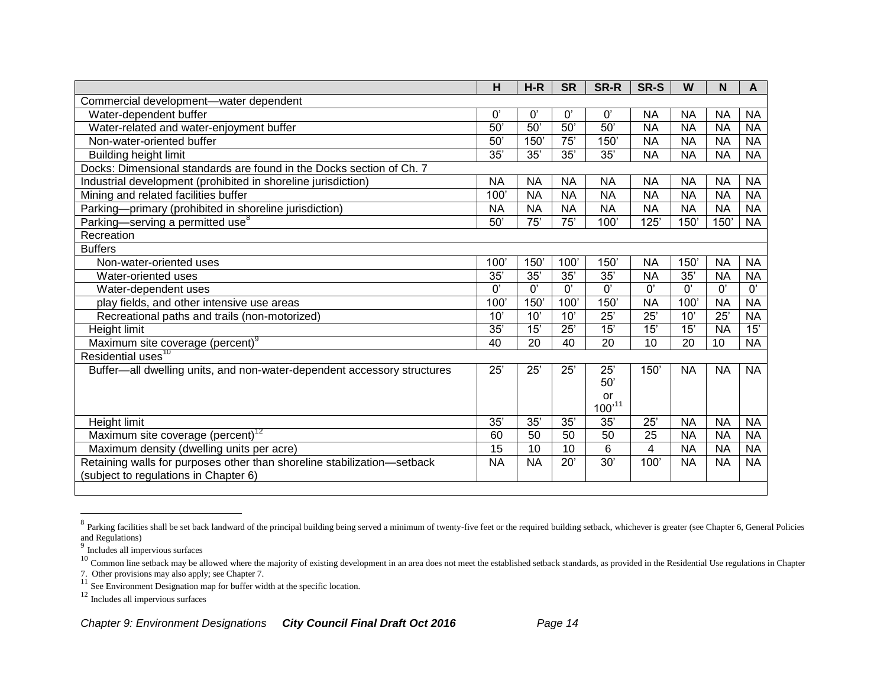|                                                                         | H               | $H-R$                 | <b>SR</b>             | SR-R            | SR-S            | W               | N               | A         |
|-------------------------------------------------------------------------|-----------------|-----------------------|-----------------------|-----------------|-----------------|-----------------|-----------------|-----------|
| Commercial development-water dependent                                  |                 |                       |                       |                 |                 |                 |                 |           |
| Water-dependent buffer                                                  | 0'              | $\mathbf{0}^{\prime}$ | $\mathbf{0}^{\prime}$ | 0'              | <b>NA</b>       | NA              | <b>NA</b>       | <b>NA</b> |
| Water-related and water-enjoyment buffer                                | 50'             | $50^{\circ}$          | $\overline{50}$       | 50'             | <b>NA</b>       | <b>NA</b>       | <b>NA</b>       | <b>NA</b> |
| Non-water-oriented buffer                                               | $\overline{50}$ | 150'                  | $\overline{75}$       | $150^\circ$     | <b>NA</b>       | <b>NA</b>       | <b>NA</b>       | <b>NA</b> |
| <b>Building height limit</b>                                            | 35'             | 35'                   | 35'                   | 35'             | <b>NA</b>       | <b>NA</b>       | <b>NA</b>       | <b>NA</b> |
| Docks: Dimensional standards are found in the Docks section of Ch. 7    |                 |                       |                       |                 |                 |                 |                 |           |
| Industrial development (prohibited in shoreline jurisdiction)           | <b>NA</b>       | <b>NA</b>             | <b>NA</b>             | <b>NA</b>       | <b>NA</b>       | <b>NA</b>       | <b>NA</b>       | <b>NA</b> |
| Mining and related facilities buffer                                    | 100'            | <b>NA</b>             | <b>NA</b>             | <b>NA</b>       | <b>NA</b>       | <b>NA</b>       | <b>NA</b>       | <b>NA</b> |
| Parking-primary (prohibited in shoreline jurisdiction)                  | <b>NA</b>       | <b>NA</b>             | <b>NA</b>             | <b>NA</b>       | <b>NA</b>       | <b>NA</b>       | <b>NA</b>       | <b>NA</b> |
| Parking-serving a permitted use <sup>8</sup>                            | 50'             | 75'                   | $\overline{75}$       | 100'            | 125'            | 150'            | 150             | <b>NA</b> |
| Recreation                                                              |                 |                       |                       |                 |                 |                 |                 |           |
| <b>Buffers</b>                                                          |                 |                       |                       |                 |                 |                 |                 |           |
| Non-water-oriented uses                                                 | 100'            | 150'                  | 100'                  | 150'            | <b>NA</b>       | 150'            | <b>NA</b>       | <b>NA</b> |
| Water-oriented uses                                                     | 35'             | 35'                   | 35'                   | 35'             | <b>NA</b>       | 35'             | <b>NA</b>       | <b>NA</b> |
| Water-dependent uses                                                    | $\overline{0}$  | $\overline{0}$        | $\overline{0}$        | $\overline{0}$  | $\overline{0'}$ | $0^{\prime}$    | 0'              | 0'        |
| play fields, and other intensive use areas                              | 100'            | 150                   | 100'                  | 150'            | <b>NA</b>       | 100'            | <b>NA</b>       | <b>NA</b> |
| Recreational paths and trails (non-motorized)                           | 10'             | 10'                   | 10'                   | $\overline{25}$ | $\overline{25}$ | $\overline{10}$ | $\overline{25}$ | <b>NA</b> |
| Height limit                                                            | 35'             | 15'                   | 25'                   | 15'             | $\overline{15}$ | 15'             | <b>NA</b>       | 15'       |
| Maximum site coverage (percent) <sup>9</sup>                            | 40              | 20                    | 40                    | 20              | 10              | 20              | 10              | <b>NA</b> |
| Residential uses <sup>10</sup>                                          |                 |                       |                       |                 |                 |                 |                 |           |
| Buffer-all dwelling units, and non-water-dependent accessory structures | 25'             | 25'                   | 25'                   | 25'             | 150'            | <b>NA</b>       | <b>NA</b>       | <b>NA</b> |
|                                                                         |                 |                       |                       | 50'             |                 |                 |                 |           |
|                                                                         |                 |                       |                       | or              |                 |                 |                 |           |
|                                                                         |                 |                       |                       | $100^{,11}$     |                 |                 |                 |           |
| Height limit                                                            | 35'             | 35'                   | 35'                   | 35'             | 25'             | <b>NA</b>       | <b>NA</b>       | <b>NA</b> |
| Maximum site coverage $\overline{(percent)}^{12}$                       | 60              | 50                    | 50                    | 50              | 25              | <b>NA</b>       | <b>NA</b>       | <b>NA</b> |
| Maximum density (dwelling units per acre)                               | 15              | 10                    | 10                    | 6               | $\overline{4}$  | <b>NA</b>       | <b>NA</b>       | <b>NA</b> |
| Retaining walls for purposes other than shoreline stabilization-setback | <b>NA</b>       | <b>NA</b>             | 20'                   | $\overline{30}$ | 100'            | <b>NA</b>       | <b>NA</b>       | <b>NA</b> |
| (subject to regulations in Chapter 6)                                   |                 |                       |                       |                 |                 |                 |                 |           |
|                                                                         |                 |                       |                       |                 |                 |                 |                 |           |

<sup>&</sup>lt;sup>8</sup> Parking facilities shall be set back landward of the principal building being served a minimum of twenty-five feet or the required building setback, whichever is greater (see Chapter 6, General Policies and Regulations) 9 Includes all impervious surfaces

<sup>12</sup> Includes all impervious surfaces

<sup>&</sup>lt;sup>10</sup> Common line setback may be allowed where the majority of existing development in an area does not meet the established setback standards, as provided in the Residential Use regulations in Chapter

<sup>7.</sup> Other provisions may also apply; see Chapter 7. <sup>11</sup> See Environment Designation map for buffer width at the specific location.